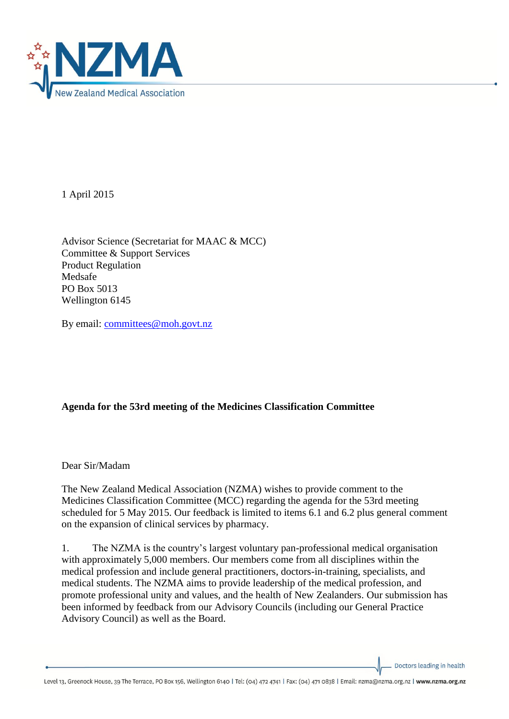

1 April 2015

Advisor Science (Secretariat for MAAC & MCC) Committee & Support Services Product Regulation Medsafe PO Box 5013 Wellington 6145

By email: [committees@moh.govt.nz](mailto:committees@moh.govt.nz)

# **Agenda for the 53rd meeting of the Medicines Classification Committee**

Dear Sir/Madam

The New Zealand Medical Association (NZMA) wishes to provide comment to the Medicines Classification Committee (MCC) regarding the agenda for the 53rd meeting scheduled for 5 May 2015. Our feedback is limited to items 6.1 and 6.2 plus general comment on the expansion of clinical services by pharmacy.

1. The NZMA is the country's largest voluntary pan-professional medical organisation with approximately 5,000 members. Our members come from all disciplines within the medical profession and include general practitioners, doctors-in-training, specialists, and medical students. The NZMA aims to provide leadership of the medical profession, and promote professional unity and values, and the health of New Zealanders. Our submission has been informed by feedback from our Advisory Councils (including our General Practice Advisory Council) as well as the Board.

Doctors leading in health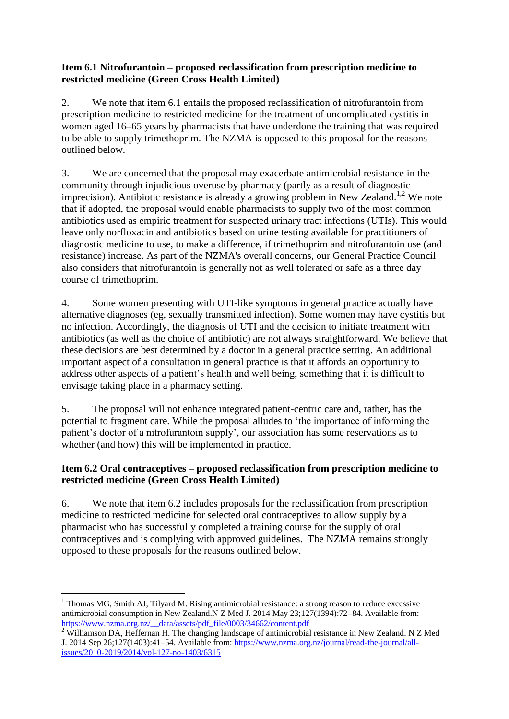### **Item 6.1 Nitrofurantoin – proposed reclassification from prescription medicine to restricted medicine (Green Cross Health Limited)**

2. We note that item 6.1 entails the proposed reclassification of nitrofurantoin from prescription medicine to restricted medicine for the treatment of uncomplicated cystitis in women aged 16–65 years by pharmacists that have underdone the training that was required to be able to supply trimethoprim. The NZMA is opposed to this proposal for the reasons outlined below.

3. We are concerned that the proposal may exacerbate antimicrobial resistance in the community through injudicious overuse by pharmacy (partly as a result of diagnostic imprecision). Antibiotic resistance is already a growing problem in New Zealand.<sup>1,2</sup> We note that if adopted, the proposal would enable pharmacists to supply two of the most common antibiotics used as empiric treatment for suspected urinary tract infections (UTIs). This would leave only norfloxacin and antibiotics based on urine testing available for practitioners of diagnostic medicine to use, to make a difference, if trimethoprim and nitrofurantoin use (and resistance) increase. As part of the NZMA's overall concerns, our General Practice Council also considers that nitrofurantoin is generally not as well tolerated or safe as a three day course of trimethoprim.

4. Some women presenting with UTI-like symptoms in general practice actually have alternative diagnoses (eg, sexually transmitted infection). Some women may have cystitis but no infection. Accordingly, the diagnosis of UTI and the decision to initiate treatment with antibiotics (as well as the choice of antibiotic) are not always straightforward. We believe that these decisions are best determined by a doctor in a general practice setting. An additional important aspect of a consultation in general practice is that it affords an opportunity to address other aspects of a patient's health and well being, something that it is difficult to envisage taking place in a pharmacy setting.

5. The proposal will not enhance integrated patient-centric care and, rather, has the potential to fragment care. While the proposal alludes to 'the importance of informing the patient's doctor of a nitrofurantoin supply', our association has some reservations as to whether (and how) this will be implemented in practice.

## **Item 6.2 Oral contraceptives – proposed reclassification from prescription medicine to restricted medicine (Green Cross Health Limited)**

6. We note that item 6.2 includes proposals for the reclassification from prescription medicine to restricted medicine for selected oral contraceptives to allow supply by a pharmacist who has successfully completed a training course for the supply of oral contraceptives and is complying with approved guidelines. The NZMA remains strongly opposed to these proposals for the reasons outlined below.

<sup>1</sup>  $1$  Thomas MG, Smith AJ, Tilyard M. Rising antimicrobial resistance: a strong reason to reduce excessive antimicrobial consumption in New Zealand.N Z Med J. 2014 May 23;127(1394):72–84. Available from: [https://www.nzma.org.nz/\\_\\_data/assets/pdf\\_file/0003/34662/content.pdf](https://www.nzma.org.nz/__data/assets/pdf_file/0003/34662/content.pdf)

<sup>&</sup>lt;sup>2</sup> Williamson DA, Heffernan H. The changing landscape of antimicrobial resistance in New Zealand. N Z Med J. 2014 Sep 26;127(1403):41–54. Available from: [https://www.nzma.org.nz/journal/read-the-journal/all](https://www.nzma.org.nz/journal/read-the-journal/all-issues/2010-2019/2014/vol-127-no-1403/6315)[issues/2010-2019/2014/vol-127-no-1403/6315](https://www.nzma.org.nz/journal/read-the-journal/all-issues/2010-2019/2014/vol-127-no-1403/6315)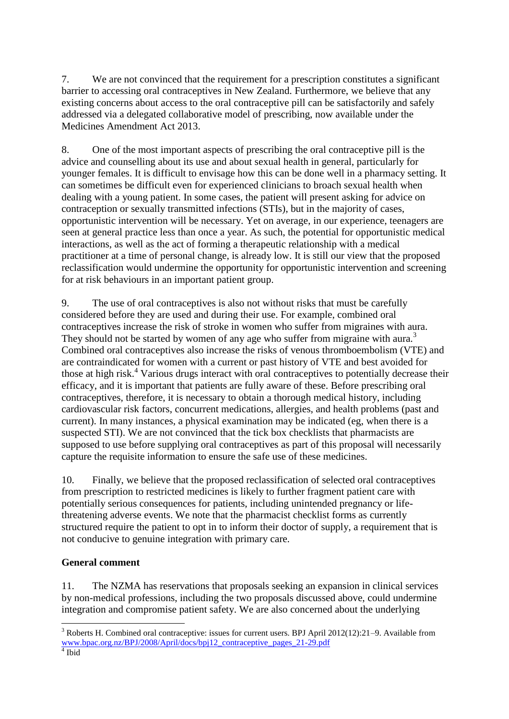7. We are not convinced that the requirement for a prescription constitutes a significant barrier to accessing oral contraceptives in New Zealand. Furthermore, we believe that any existing concerns about access to the oral contraceptive pill can be satisfactorily and safely addressed via a delegated collaborative model of prescribing, now available under the Medicines Amendment Act 2013.

8. One of the most important aspects of prescribing the oral contraceptive pill is the advice and counselling about its use and about sexual health in general, particularly for younger females. It is difficult to envisage how this can be done well in a pharmacy setting. It can sometimes be difficult even for experienced clinicians to broach sexual health when dealing with a young patient. In some cases, the patient will present asking for advice on contraception or sexually transmitted infections (STIs), but in the majority of cases, opportunistic intervention will be necessary. Yet on average, in our experience, teenagers are seen at general practice less than once a year. As such, the potential for opportunistic medical interactions, as well as the act of forming a therapeutic relationship with a medical practitioner at a time of personal change, is already low. It is still our view that the proposed reclassification would undermine the opportunity for opportunistic intervention and screening for at risk behaviours in an important patient group.

9. The use of oral contraceptives is also not without risks that must be carefully considered before they are used and during their use. For example, combined oral contraceptives increase the risk of stroke in women who suffer from migraines with aura. They should not be started by women of any age who suffer from migraine with aura.<sup>3</sup> Combined oral contraceptives also increase the risks of venous thromboembolism (VTE) and are contraindicated for women with a current or past history of VTE and best avoided for those at high risk.<sup>4</sup> Various drugs interact with oral contraceptives to potentially decrease their efficacy, and it is important that patients are fully aware of these. Before prescribing oral contraceptives, therefore, it is necessary to obtain a thorough medical history, including cardiovascular risk factors, concurrent medications, allergies, and health problems (past and current). In many instances, a physical examination may be indicated (eg, when there is a suspected STI). We are not convinced that the tick box checklists that pharmacists are supposed to use before supplying oral contraceptives as part of this proposal will necessarily capture the requisite information to ensure the safe use of these medicines.

10. Finally, we believe that the proposed reclassification of selected oral contraceptives from prescription to restricted medicines is likely to further fragment patient care with potentially serious consequences for patients, including unintended pregnancy or lifethreatening adverse events. We note that the pharmacist checklist forms as currently structured require the patient to opt in to inform their doctor of supply, a requirement that is not conducive to genuine integration with primary care.

# **General comment**

11. The NZMA has reservations that proposals seeking an expansion in clinical services by non-medical professions, including the two proposals discussed above, could undermine integration and compromise patient safety. We are also concerned about the underlying

1

 $3$  Roberts H. Combined oral contraceptive: issues for current users. BPJ April 2012(12):21–9. Available from [www.bpac.org.nz/BPJ/2008/April/docs/bpj12\\_contraceptive\\_pages\\_21-29.pdf](http://www.bpac.org.nz/BPJ/2008/April/docs/bpj12_contraceptive_pages_21-29.pdf)<br><sup>4</sup> Ibid